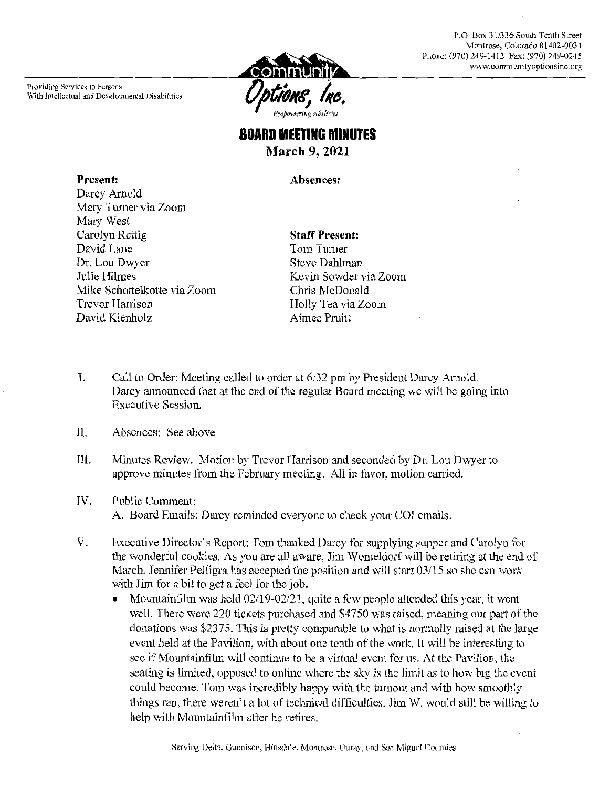P.O. Box 31/336 South Tenth Street Montrose, Colorado 81402-0031 Phone: (970) 249-1412 Fax: (970) 249-0245 www.communityoptionsinc.org



### **BOARD MEETING MINUTES March 9, 2021**

Absences:

Present: Darcy Arnold Mary Turner via Zoom Mary West Carolyn Rettig David Lane Dr. Lou Dwyer Julie Hilmes Mike Schottelkotte via Zoom **Trevor Harrison** David Kienholz

#### **Staff Present:**

Tom Turner **Steve Dahlman** Kevin Sowder via Zoom Chris McDonald Holly Tea via Zoom Aimee Pruitt

- L. Call to Order: Meeting called to order at 6:32 pm by President Darcy Arnold. Darcy announced that at the end of the regular Board meeting we will be going into **Executive Session.**
- II. Absences: See above
- III. Minutes Review. Motion by Trevor Harrison and seconded by Dr. Lou Dwyer to approve minutes from the February meeting. All in favor, motion carried.
- IV. Public Comment: A. Board Emails: Darcy reminded everyone to check your COI emails.
- V. Executive Director's Report: Tom thanked Darcy for supplying supper and Carolyn for the wonderful cookies. As you are all aware, Jim Womeldorf will be retiring at the end of March. Jennifer Pelligra has accepted the position and will start 03/15 so she can work with Jim for a bit to get a feel for the job.
	- Mountainfilm was held 02/19-02/21, quite a few people attended this year, it went well. There were 220 tickets purchased and \$4750 was raised, meaning our part of the donations was \$2375. This is pretty comparable to what is normally raised at the large event held at the Pavilion, with about one tenth of the work. It will be interesting to see if Mountainfilm will continue to be a virtual event for us. At the Pavilion, the seating is limited, opposed to online where the sky is the limit as to how big the event could become. Tom was incredibly happy with the turnout and with how smoothly things ran, there weren't a lot of technical difficulties. Jim W. would still be willing to help with Mountainfilm after he retires.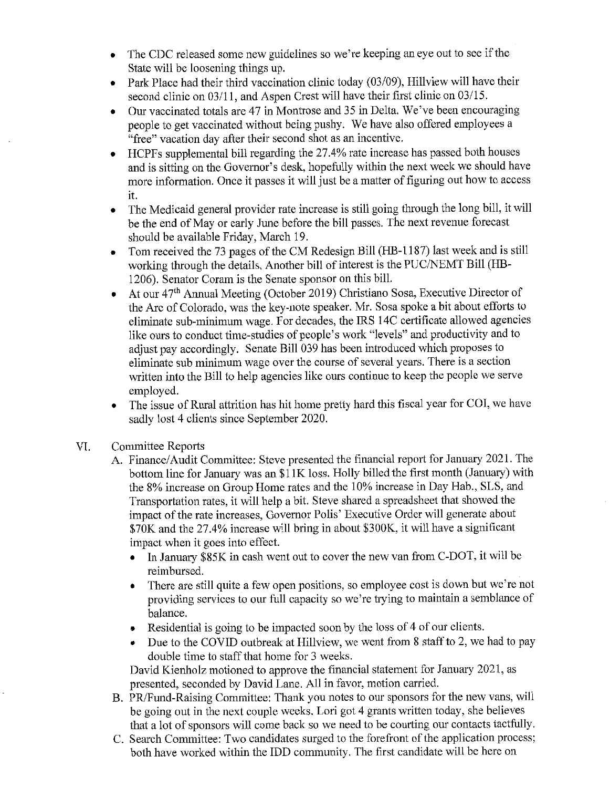- The CDC released some new guidelines so we're keeping an eye out to see if the  $\bullet$ State will be loosening things up.
- Park Place had their third vaccination clinic today (03/09), Hillview will have their  $\bullet$ second clinic on 03/11, and Aspen Crest will have their first clinic on 03/15.
- Our vaccinated totals are 47 in Montrose and 35 in Delta. We've been encouraging  $\bullet$ people to get vaccinated without being pushy. We have also offered employees a "free" vacation day after their second shot as an incentive.
- HCPFs supplemental bill regarding the 27.4% rate increase has passed both houses  $\bullet$ and is sitting on the Governor's desk, hopefully within the next week we should have more information. Once it passes it will just be a matter of figuring out how to access it.
- The Medicaid general provider rate increase is still going through the long bill, it will  $\bullet$ be the end of May or early June before the bill passes. The next revenue forecast should be available Friday, March 19.
- Tom received the 73 pages of the CM Redesign Bill (HB-1187) last week and is still  $\bullet$ working through the details. Another bill of interest is the PUC/NEMT Bill (HB-1206). Senator Coram is the Senate sponsor on this bill.
- At our 47<sup>th</sup> Annual Meeting (October 2019) Christiano Sosa, Executive Director of  $\bullet$ the Arc of Colorado, was the key-note speaker. Mr. Sosa spoke a bit about efforts to eliminate sub-minimum wage. For decades, the IRS 14C certificate allowed agencies like ours to conduct time-studies of people's work "levels" and productivity and to adjust pay accordingly. Senate Bill 039 has been introduced which proposes to eliminate sub minimum wage over the course of several years. There is a section written into the Bill to help agencies like ours continue to keep the people we serve employed.
- The issue of Rural attrition has hit home pretty hard this fiscal year for COI, we have sadly lost 4 clients since September 2020.
- VI. **Committee Reports** 
	- A. Finance/Audit Committee: Steve presented the financial report for January 2021. The bottom line for January was an \$11K loss. Holly billed the first month (January) with the 8% increase on Group Home rates and the 10% increase in Day Hab., SLS, and Transportation rates, it will help a bit. Steve shared a spreadsheet that showed the impact of the rate increases, Governor Polis' Executive Order will generate about \$70K and the 27.4% increase will bring in about \$300K, it will have a significant impact when it goes into effect.
		- In January \$85K in cash went out to cover the new van from C-DOT, it will be  $\bullet$ reimbursed.
		- There are still quite a few open positions, so employee cost is down but we're not providing services to our full capacity so we're trying to maintain a semblance of balance.
		- Residential is going to be impacted soon by the loss of 4 of our clients.
		- Due to the COVID outbreak at Hillview, we went from 8 staff to 2, we had to pay double time to staff that home for 3 weeks.

David Kienholz motioned to approve the financial statement for January 2021, as presented, seconded by David Lane. All in favor, motion carried.

- B. PR/Fund-Raising Committee: Thank you notes to our sponsors for the new vans, will be going out in the next couple weeks. Lori got 4 grants written today, she believes that a lot of sponsors will come back so we need to be courting our contacts tactfully.
- C. Search Committee: Two candidates surged to the forefront of the application process; both have worked within the IDD community. The first candidate will be here on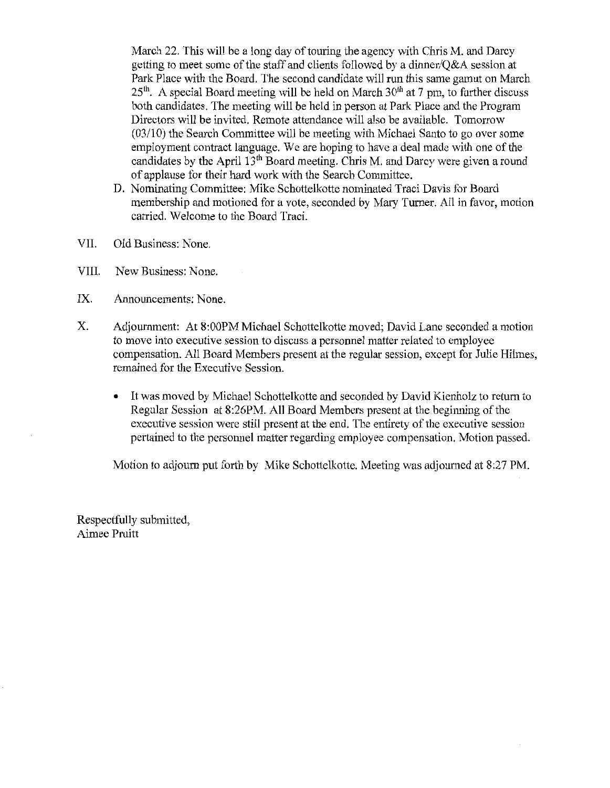March 22. This will be a long day of touring the agency with Chris M, and Darcy getting to meet some of the staff and clients followed by a dinner/O&A session at Park Place with the Board. The second candidate will run this same gamut on March 25<sup>th</sup>. A special Board meeting will be held on March 30<sup>th</sup> at 7 pm, to further discuss both candidates. The meeting will be held in person at Park Place and the Program Directors will be invited. Remote attendance will also be available. Tomorrow  $(03/10)$  the Search Committee will be meeting with Michael Santo to go over some employment contract language. We are hoping to have a deal made with one of the candidates by the April 13<sup>th</sup> Board meeting. Chris M. and Darcy were given a round of applause for their hard work with the Search Committee.

- D. Nominating Committee: Mike Schottelkotte nominated Traci Davis for Board membership and motioned for a vote, seconded by Mary Turner. All in favor, motion carried. Welcome to the Board Traci.
- VII. Old Business: None.
- VIII. New Business: None.
- IX. Announcements: None.
- Χ. Adjournment: At 8:00PM Michael Schottelkotte moved; David Lane seconded a motion to move into executive session to discuss a personnel matter related to employee compensation. All Board Members present at the regular session, except for Julie Hilmes. remained for the Executive Session.
	- It was moved by Michael Schottelkotte and seconded by David Kienholz to return to  $\bullet$ Regular Session at 8:26PM. All Board Members present at the beginning of the executive session were still present at the end. The entirety of the executive session pertained to the personnel matter regarding employee compensation. Motion passed.

Motion to adjourn put forth by Mike Schottelkotte. Meeting was adjourned at 8:27 PM.

Respectfully submitted, Aimee Pruitt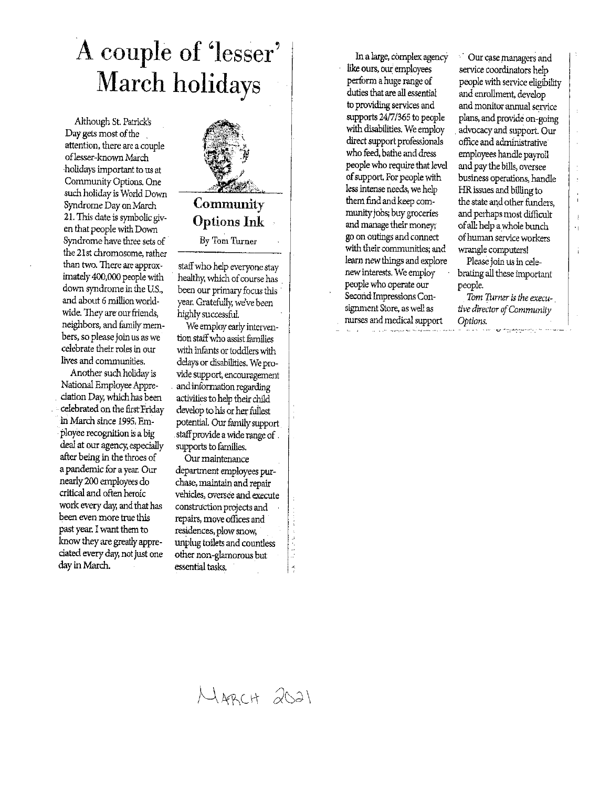# A couple of 'lesser' **March holidays**

Although St. Patrick's Day gets most of the attention, there are a couple of lesser-known March holidays important to us at Community Options. One such holiday is World Down Syndrome Day on March 21. This date is symbolic given that people with Down Syndrome have three sets of the 21st chromosome, rather than two. There are approximately 400,000 people with down syndrome in the U.S., and about 6 million worldwide. They are our friends, neighbors, and family members, so please join us as we celebrate their roles in our lives and communities.

Another such holiday is National Employee Appreciation Day, which has been celebrated on the first Friday in March since 1995. Employee recognition is a big deal at our agency, especially after being in the throes of a pandemic for a year. Our nearly 200 employees do critical and often heroic work every day, and that has been even more true this past year. I want them to know they are greatly appreciated every day, not just one day in March.



staff who help everyone stay healthy, which of course has been our primary focus this year. Gratefully, we've been highly successful.

We employ early intervention staff who assist families with infants or toddlers with delays or disabilities. We provide support, encouragement and information regarding activities to help their child develop to his or her fullest potential. Our family support staff provide a wide range of supports to families.

Our maintenance department employees purchase, maintain and repair vehicles, oversee and execute construction projects and repairs, move offices and residences, plow snow, unplug toilets and countless other non-glamorous but essential tasks.

In a large, complex agency like ours, our employees perform a huge range of duties that are all essential to providing services and supports 24/7/365 to people with disabilities. We employ direct support professionals who feed, bathe and dress people who require that level of support. For people with less intense needs, we help them find and keep community jobs; buy groceries and manage their money; go on outings and connect with their communities; and learn new things and explore new interests. We employ people who operate our Second Impressions Consignment Store, as well as nurses and medical support

Our case managers and service coordinators help people with service eligibility and enrollment, develop and monitor annual service plans, and provide on-going advocacy and support. Our office and administrative employees handle payroll and pay the bills, oversee business operations, handle HR issues and billing to the state and other funders, and perhaps most difficult of all: help a whole bunch of human service workers wrangle computers!

 $\overline{\phantom{a}}$ 

Ŕ

Please join us in celebrating all these important people.

Tom Turner is the executive director of Community Options.

MARCH 2021

 $\frac{1}{2}$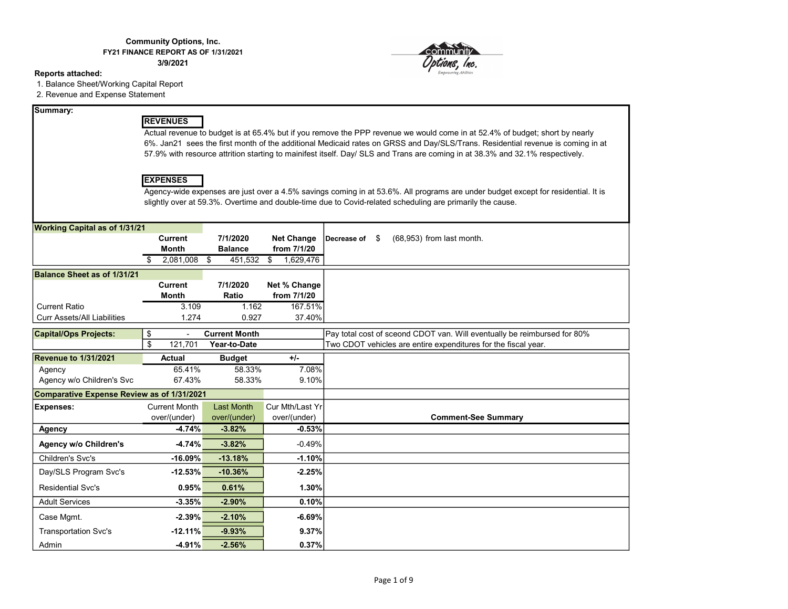#### Community Options, Inc. FY21 FINANCE REPORT AS OF 1/31/2021

3/9/2021

#### Reports attached:

1. Balance Sheet/Working Capital Report

2. Revenue and Expense Statement

#### Summary:

#### REVENUES

Actual revenue to budget is at 65.4% but if you remove the PPP revenue we would come in at 52.4% of budget; short by nearly 6%. Jan21 sees the first month of the additional Medicaid rates on GRSS and Day/SLS/Trans. Residential revenue is coming in at 57.9% with resource attrition starting to mainifest itself. Day/ SLS and Trans are coming in at 38.3% and 32.1% respectively.

#### EXPENSES

Agency-wide expenses are just over a 4.5% savings coming in at 53.6%. All programs are under budget except for residential. It is slightly over at 59.3%. Overtime and double-time due to Covid-related scheduling are primarily the cause.

| <b>Working Capital as of 1/31/21</b>       |                      |                      |                   |                                                                          |
|--------------------------------------------|----------------------|----------------------|-------------------|--------------------------------------------------------------------------|
|                                            | <b>Current</b>       | 7/1/2020             | <b>Net Change</b> | (68,953) from last month.<br>Decrease of<br>\$.                          |
|                                            | <b>Month</b>         | <b>Balance</b>       | from 7/1/20       |                                                                          |
|                                            | 2,081,008            | 451,532<br>\$        | 1,629,476<br>\$   |                                                                          |
| <b>Balance Sheet as of 1/31/21</b>         |                      |                      |                   |                                                                          |
|                                            | <b>Current</b>       | 7/1/2020             | Net % Change      |                                                                          |
|                                            | <b>Month</b>         | Ratio                | from 7/1/20       |                                                                          |
| <b>Current Ratio</b>                       | 3.109                | 1.162                | 167.51%           |                                                                          |
| <b>Curr Assets/All Liabilities</b>         | 1.274                | 0.927                | 37.40%            |                                                                          |
| <b>Capital/Ops Projects:</b>               | \$                   | <b>Current Month</b> |                   | Pay total cost of sceond CDOT van. Will eventually be reimbursed for 80% |
|                                            | \$<br>121,701        | Year-to-Date         |                   | Two CDOT vehicles are entire expenditures for the fiscal year.           |
| Revenue to 1/31/2021                       | <b>Actual</b>        | <b>Budget</b>        | $+/-$             |                                                                          |
| Agency                                     | 65.41%               | 58.33%               | 7.08%             |                                                                          |
| Agency w/o Children's Svc                  | 67.43%               | 58.33%               | 9.10%             |                                                                          |
| Comparative Expense Review as of 1/31/2021 |                      |                      |                   |                                                                          |
| <b>Expenses:</b>                           | <b>Current Month</b> | <b>Last Month</b>    | Cur Mth/Last Yr   |                                                                          |
|                                            | over/(under)         | over/(under)         | over/(under)      | <b>Comment-See Summary</b>                                               |
| <b>Agency</b>                              | $-4.74%$             | $-3.82%$             | $-0.53%$          |                                                                          |
| <b>Agency w/o Children's</b>               | $-4.74%$             | $-3.82%$             | $-0.49%$          |                                                                          |
| Children's Svc's                           | $-16.09%$            | $-13.18%$            | $-1.10%$          |                                                                          |
| Day/SLS Program Svc's                      | $-12.53%$            | $-10.36%$            | $-2.25%$          |                                                                          |
| <b>Residential Svc's</b>                   | 0.95%                | 0.61%                | 1.30%             |                                                                          |
| <b>Adult Services</b>                      | $-3.35%$             | $-2.90%$             | 0.10%             |                                                                          |
| Case Mgmt.                                 | $-2.39%$             | $-2.10%$             | $-6.69%$          |                                                                          |
| <b>Transportation Svc's</b>                | $-12.11%$            | $-9.93%$             | 9.37%             |                                                                          |
| Admin                                      | $-4.91%$             | $-2.56%$             | 0.37%             |                                                                          |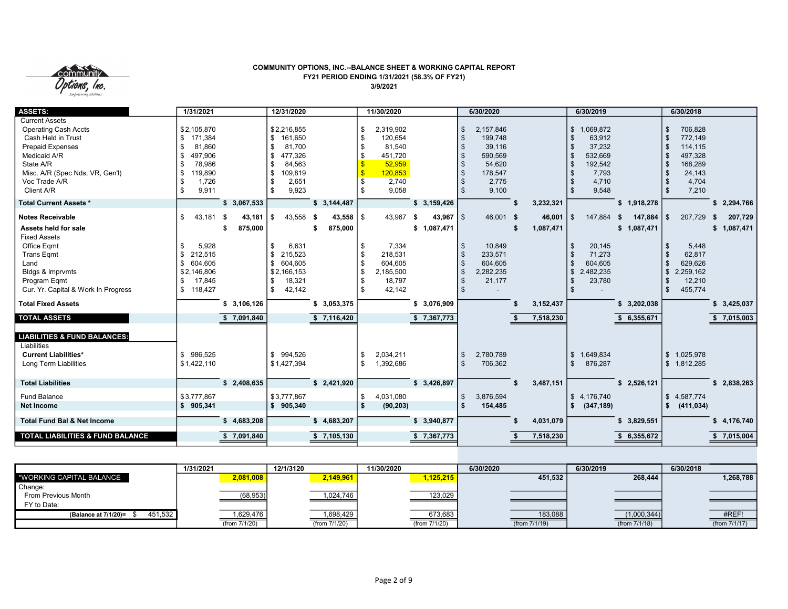

#### COMMUNITY OPTIONS, INC.--BALANCE SHEET & WORKING CAPITAL REPORT FY21 PERIOD ENDING 1/31/2021 (58.3% OF FY21) 3/9/2021

| <b>ASSETS:</b>                                                                                                                                                                                       | 1/31/2021                                                                                                                |                   | 12/31/2020                                                                                                                       |                                        | 11/30/2020                                                                                           |                               | 6/30/2020                                                                                                              |                           | 6/30/2019                                                                                                                   |                               | 6/30/2018                                                                                                                                                                           |                        |
|------------------------------------------------------------------------------------------------------------------------------------------------------------------------------------------------------|--------------------------------------------------------------------------------------------------------------------------|-------------------|----------------------------------------------------------------------------------------------------------------------------------|----------------------------------------|------------------------------------------------------------------------------------------------------|-------------------------------|------------------------------------------------------------------------------------------------------------------------|---------------------------|-----------------------------------------------------------------------------------------------------------------------------|-------------------------------|-------------------------------------------------------------------------------------------------------------------------------------------------------------------------------------|------------------------|
| <b>Current Assets</b><br><b>Operating Cash Accts</b><br>Cash Held in Trust<br><b>Prepaid Expenses</b><br>Medicaid A/R<br>State A/R<br>Misc. A/R (Spec Nds, VR, Gen'l)<br>Voc Trade A/R<br>Client A/R | \$2,105,870<br>\$171,384<br>81,860<br>\$<br>497,906<br>\$<br>78,986<br>\$<br>119,890<br>\$<br>1,726<br>\$<br>9,911<br>\$ |                   | \$2,216,855<br>\$<br>161,650<br>-\$<br>81,700<br>\$<br>477,326<br>84,563<br>-\$<br>\$<br>109,819<br>2,651<br>-\$<br>-\$<br>9,923 |                                        | -\$<br>2,319,902<br>\$<br>120,654<br>81,540<br>-\$<br>451,720<br>52,959<br>120,853<br>2,740<br>9,058 |                               | 2,157,846<br>\$<br>$\mathfrak{F}$<br>199,748<br>39,116<br>590,569<br>54,620<br>178,547<br>\$<br>2,775<br>\$<br>9,100   |                           | \$1,069,872<br>\$<br>63,912<br>37,232<br>\$<br>532,669<br>\$<br>192,542<br>\$<br>7,793<br>\$<br>4,710<br>\$<br>9,548<br>\$. |                               | 706.828<br><sup>\$</sup><br>$\mathbf{\hat{s}}$<br>772,149<br>114,115<br>-\$<br>497,328<br>$\mathcal{S}$<br>168,289<br>$\mathbf{s}$<br>24,143<br>-\$<br>4,704<br>- \$<br>7,210<br>\$ |                        |
| <b>Total Current Assets *</b>                                                                                                                                                                        |                                                                                                                          | \$3,067,533       |                                                                                                                                  | \$3,144,487                            |                                                                                                      | \$3,159,426                   |                                                                                                                        | 3,232,321                 |                                                                                                                             | \$1,918,278                   |                                                                                                                                                                                     | \$2,294,766            |
| <b>Notes Receivable</b><br>Assets held for sale<br><b>Fixed Assets</b><br>Office Eqmt<br><b>Trans Eqmt</b><br>Land<br>Bldgs & Imprvmts<br>Program Eqmt<br>Cur. Yr. Capital & Work In Progress        | \$<br>43,181 \$<br>5,928<br>\$<br>212,515<br>\$<br>604,605<br>\$<br>\$2,146,806<br>17,845<br>\$<br>\$118,427             | 43,181<br>875,000 | 43,558<br>\$<br>\$<br>6,631<br>\$<br>215,523<br>\$<br>604,605<br>\$2,166,153<br>\$<br>18,321<br>\$<br>42,142                     | $43,558$   \$<br>- \$<br>875,000<br>\$ | 43,967<br>7,334<br>\$<br>218,531<br>\$<br>604,605<br>\$<br>2,185,500<br>18,797<br>42,142             | 43,967<br>- \$<br>\$1,087,471 | 46,001 \$<br>1S<br>10,849<br>\$<br>233,571<br>\$<br>604,605<br>\$<br>2,282,235<br>\$<br>21,177<br>\$<br>$\mathfrak{S}$ | 46,001<br>1,087,471<br>\$ | \$.<br>147,884<br>20,145<br>\$<br>71,273<br>\$<br>604,605<br>\$<br>2,482,235<br>\$<br>23,780<br>\$<br>\$                    | 147,884<br>- 5<br>\$1,087,471 | 207,729<br>\$<br>5,448<br>-\$<br>62,817<br>-\$<br><sup>\$</sup><br>629,626<br>$\mathfrak{s}$<br>2,259,162<br>12,210<br>-\$<br>$\mathbf{s}$<br>455,774                               | 207,729<br>\$1,087,471 |
| <b>Total Fixed Assets</b>                                                                                                                                                                            |                                                                                                                          | \$3,106,126       |                                                                                                                                  | \$3,053,375                            |                                                                                                      | \$3,076,909                   |                                                                                                                        | 3, 152, 437               |                                                                                                                             | \$3,202,038                   |                                                                                                                                                                                     | \$3,425,037            |
| <b>TOTAL ASSETS</b>                                                                                                                                                                                  |                                                                                                                          | \$7,091,840       |                                                                                                                                  | \$7,116,420                            |                                                                                                      | \$7,367,773                   |                                                                                                                        | 7,518,230                 |                                                                                                                             | \$6,355,671                   |                                                                                                                                                                                     | \$7,015,003            |
| <b>LIABILITIES &amp; FUND BALANCES:</b><br>Liabilities<br><b>Current Liabilities*</b><br>Long Term Liabilities                                                                                       | \$986,525<br>\$1,422,110                                                                                                 |                   | \$994,526<br>\$1,427,394                                                                                                         |                                        | 2,034,211<br>-\$<br>1,392,686<br>-\$                                                                 |                               | 2,780,789<br>\$<br>\$<br>706,362                                                                                       |                           | \$1,649,834<br>876,287<br>\$                                                                                                |                               | $\mathbb{S}$<br>1,025,978<br>\$1,812,285                                                                                                                                            |                        |
| <b>Total Liabilities</b>                                                                                                                                                                             |                                                                                                                          | \$2,408,635       |                                                                                                                                  | \$2,421,920                            |                                                                                                      | \$3,426,897                   |                                                                                                                        | 3,487,151                 |                                                                                                                             | \$2,526,121                   |                                                                                                                                                                                     | \$2,838,263            |
| <b>Fund Balance</b><br><b>Net Income</b>                                                                                                                                                             | \$3,777.867<br>\$905,341                                                                                                 |                   | \$3,777,867<br>\$905,340                                                                                                         |                                        | 4,031,080<br>\$<br>$\mathbf{s}$<br>(90, 203)                                                         |                               | 3,876,594<br>\$<br><b>S</b><br>154,485                                                                                 |                           | \$4,176,740<br>(347, 189)<br>\$                                                                                             |                               | $\mathfrak{S}$<br>4,587,774<br>\$<br>(411, 034)                                                                                                                                     |                        |
| <b>Total Fund Bal &amp; Net Income</b>                                                                                                                                                               |                                                                                                                          | \$4,683,208       |                                                                                                                                  | \$4,683,207                            |                                                                                                      | \$3,940,877                   |                                                                                                                        | 4,031,079                 |                                                                                                                             | \$3,829,551                   |                                                                                                                                                                                     | \$4,176,740            |
| <b>TOTAL LIABILITIES &amp; FUND BALANCE</b>                                                                                                                                                          |                                                                                                                          | 7,091,840         |                                                                                                                                  | \$7,105,130                            |                                                                                                      | \$7,367,773                   |                                                                                                                        | 7,518,230                 |                                                                                                                             | 6,355,672                     |                                                                                                                                                                                     | \$7,015,004            |

|                                 | 1/31/2021     | 12/1/3120     | 11/30/2020          | 6/30/2020     | 6/30/2019        | 6/30/2018     |
|---------------------------------|---------------|---------------|---------------------|---------------|------------------|---------------|
| │ *WORKING CAPITAL BALANCE      | 2,081,008     | 2,149,961     | 1,125,215           | 451.532       | 268.444          | 1,268,788     |
| Change:                         |               |               |                     |               |                  |               |
| From Previous Month             | (68,953)      | 1,024,746     | $\frac{123,029}{ }$ |               |                  |               |
| FY to Date:                     |               |               |                     |               |                  |               |
| 451,532<br>(Balance at 7/1/20)= | 1,629,476     | 1,698,429     | 673,683             | 183,088       | (1,000,344)      | #REF!         |
|                                 | (from 7/1/20) | (from 7/1/20) | (from 7/1/20)       | (from 7/1/19) | (from $7/1/18$ ) | (from 7/1/17) |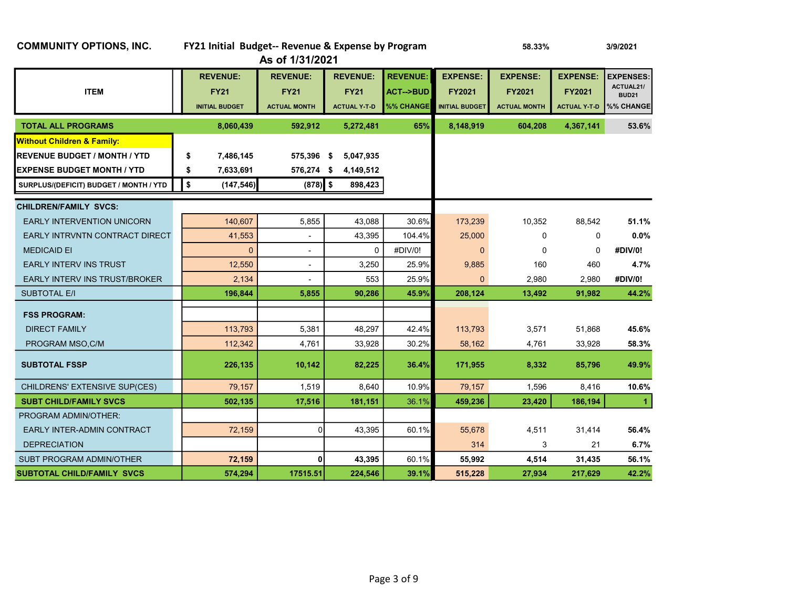| <b>COMMUNITY OPTIONS, INC.</b>         | FY21 Initial Budget-- Revenue & Expense by Program      | As of 1/31/2021                                       |                                                       |                                                     | 3/9/2021                                                  |                                                         |                                                         |                                                            |
|----------------------------------------|---------------------------------------------------------|-------------------------------------------------------|-------------------------------------------------------|-----------------------------------------------------|-----------------------------------------------------------|---------------------------------------------------------|---------------------------------------------------------|------------------------------------------------------------|
| <b>ITEM</b>                            | <b>REVENUE:</b><br><b>FY21</b><br><b>INITIAL BUDGET</b> | <b>REVENUE:</b><br><b>FY21</b><br><b>ACTUAL MONTH</b> | <b>REVENUE:</b><br><b>FY21</b><br><b>ACTUAL Y T D</b> | <b>REVENUE:</b><br><b>ACT--&gt;BUD</b><br>%% CHANGE | <b>EXPENSE:</b><br><b>FY2021</b><br><b>INITIAL BUDGET</b> | <b>EXPENSE:</b><br><b>FY2021</b><br><b>ACTUAL MONTH</b> | <b>EXPENSE:</b><br><b>FY2021</b><br><b>ACTUAL Y T D</b> | <b>EXPENSES:</b><br>ACTUAL21/<br><b>BUD21</b><br>%% CHANGE |
| <b>TOTAL ALL PROGRAMS</b>              | 8,060,439                                               | 592,912                                               | 5,272,481                                             | 65%                                                 | 8,148,919                                                 | 604,208                                                 | 4,367,141                                               | 53.6%                                                      |
| <b>Without Children &amp; Family:</b>  |                                                         |                                                       |                                                       |                                                     |                                                           |                                                         |                                                         |                                                            |
| <b>REVENUE BUDGET / MONTH / YTD</b>    | 7,486,145<br>\$                                         | 575,396 \$                                            | 5,047,935                                             |                                                     |                                                           |                                                         |                                                         |                                                            |
| <b>EXPENSE BUDGET MONTH / YTD</b>      | \$<br>7,633,691                                         | 576,274 \$                                            | 4,149,512                                             |                                                     |                                                           |                                                         |                                                         |                                                            |
| SURPLUS/(DEFICIT) BUDGET / MONTH / YTD | \$<br>(147, 546)                                        | $(878)$ \$                                            | 898,423                                               |                                                     |                                                           |                                                         |                                                         |                                                            |
| <b>CHILDREN/FAMILY SVCS:</b>           |                                                         |                                                       |                                                       |                                                     |                                                           |                                                         |                                                         |                                                            |
| <b>EARLY INTERVENTION UNICORN</b>      | 140,607                                                 | 5,855                                                 | 43,088                                                | 30.6%                                               | 173,239                                                   | 10,352                                                  | 88,542                                                  | 51.1%                                                      |
| EARLY INTRVNTN CONTRACT DIRECT         | 41,553                                                  | $\overline{a}$                                        | 43,395                                                | 104.4%                                              | 25,000                                                    | $\Omega$                                                | $\mathbf 0$                                             | 0.0%                                                       |
| <b>MEDICAID EI</b>                     | $\mathbf{0}$                                            | $\overline{a}$                                        | $\mathbf 0$                                           | #DIV/0!                                             | $\Omega$                                                  | 0                                                       | $\mathbf 0$                                             | #DIV/0!                                                    |
| <b>EARLY INTERV INS TRUST</b>          | 12,550                                                  | $\overline{\phantom{a}}$                              | 3,250                                                 | 25.9%                                               | 9,885                                                     | 160                                                     | 460                                                     | 4.7%                                                       |
| EARLY INTERV INS TRUST/BROKER          | 2,134                                                   |                                                       | 553                                                   | 25.9%                                               | $\Omega$                                                  | 2,980                                                   | 2,980                                                   | #DIV/0!                                                    |
| <b>SUBTOTAL E/I</b>                    | 196,844                                                 | 5,855                                                 | 90,286                                                | 45.9%                                               | 208,124                                                   | 13,492                                                  | 91,982                                                  | 44.2%                                                      |
| <b>FSS PROGRAM:</b>                    |                                                         |                                                       |                                                       |                                                     |                                                           |                                                         |                                                         |                                                            |
| <b>DIRECT FAMILY</b>                   | 113,793                                                 | 5,381                                                 | 48,297                                                | 42.4%                                               | 113,793                                                   | 3,571                                                   | 51,868                                                  | 45.6%                                                      |
| PROGRAM MSO, C/M                       | 112,342                                                 | 4,761                                                 | 33,928                                                | 30.2%                                               | 58,162                                                    | 4,761                                                   | 33,928                                                  | 58.3%                                                      |
| <b>SUBTOTAL FSSP</b>                   | 226,135                                                 | 10,142                                                | 82,225                                                | 36.4%                                               | 171,955                                                   | 8,332                                                   | 85,796                                                  | 49.9%                                                      |
| CHILDRENS' EXTENSIVE SUP(CES)          | 79,157                                                  | 1,519                                                 | 8,640                                                 | 10.9%                                               | 79,157                                                    | 1,596                                                   | 8,416                                                   | 10.6%                                                      |
| <b>SUBT CHILD/FAMILY SVCS</b>          | 502,135                                                 | 17,516                                                | 181,151                                               | 36.1%                                               | 459,236                                                   | 23,420                                                  | 186,194                                                 | $\blacktriangleleft$                                       |
| <b>PROGRAM ADMIN/OTHER:</b>            |                                                         |                                                       |                                                       |                                                     |                                                           |                                                         |                                                         |                                                            |
| EARLY INTER-ADMIN CONTRACT             | 72,159                                                  | $\Omega$                                              | 43,395                                                | 60.1%                                               | 55,678                                                    | 4,511                                                   | 31,414                                                  | 56.4%                                                      |
| <b>DEPRECIATION</b>                    |                                                         |                                                       |                                                       |                                                     | 314                                                       | 3                                                       | 21                                                      | 6.7%                                                       |
| <b>SUBT PROGRAM ADMIN/OTHER</b>        | 72,159                                                  | 0                                                     | 43,395                                                | 60.1%                                               | 55,992                                                    | 4,514                                                   | 31,435                                                  | 56.1%                                                      |
| <b>SUBTOTAL CHILD/FAMILY SVCS</b>      | 574,294                                                 | 17515.51                                              | 224,546                                               | 39.1%                                               | 515,228                                                   | 27,934                                                  | 217,629                                                 | 42.2%                                                      |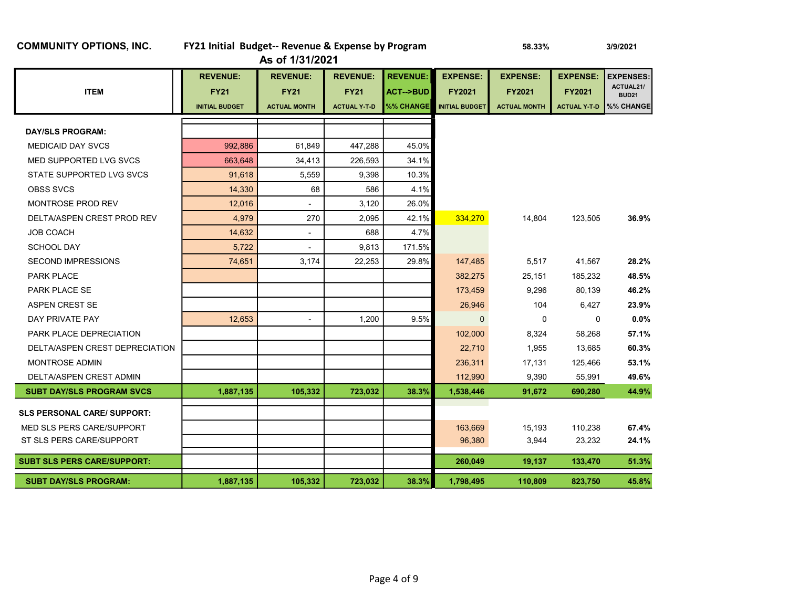| As of 1/31/2021                    |                       |                     |                     |                     |                       |                     |                     |                           |  |  |  |
|------------------------------------|-----------------------|---------------------|---------------------|---------------------|-----------------------|---------------------|---------------------|---------------------------|--|--|--|
|                                    | <b>REVENUE:</b>       | <b>REVENUE:</b>     | <b>REVENUE:</b>     | <b>REVENUE:</b>     | <b>EXPENSE:</b>       | <b>EXPENSE:</b>     | <b>EXPENSE:</b>     | <b>EXPENSES:</b>          |  |  |  |
| <b>ITEM</b>                        | <b>FY21</b>           | <b>FY21</b>         | <b>FY21</b>         | <b>ACT--&gt;BUD</b> | <b>FY2021</b>         | <b>FY2021</b>       | <b>FY2021</b>       | ACTUAL21/<br><b>BUD21</b> |  |  |  |
|                                    | <b>INITIAL BUDGET</b> | <b>ACTUAL MONTH</b> | <b>ACTUAL Y-T-D</b> | %% CHANGE           | <b>INITIAL BUDGET</b> | <b>ACTUAL MONTH</b> | <b>ACTUAL Y T D</b> | %% CHANGE                 |  |  |  |
| <b>DAY/SLS PROGRAM:</b>            |                       |                     |                     |                     |                       |                     |                     |                           |  |  |  |
| <b>MEDICAID DAY SVCS</b>           | 992,886               | 61,849              | 447,288             | 45.0%               |                       |                     |                     |                           |  |  |  |
| MED SUPPORTED LVG SVCS             | 663.648               | 34,413              | 226,593             | 34.1%               |                       |                     |                     |                           |  |  |  |
| STATE SUPPORTED LVG SVCS           | 91,618                | 5,559               | 9,398               | 10.3%               |                       |                     |                     |                           |  |  |  |
| <b>OBSS SVCS</b>                   | 14,330                | 68                  | 586                 | 4.1%                |                       |                     |                     |                           |  |  |  |
| <b>MONTROSE PROD REV</b>           | 12,016                | -                   | 3,120               | 26.0%               |                       |                     |                     |                           |  |  |  |
| DELTA/ASPEN CREST PROD REV         | 4,979                 | 270                 | 2,095               | 42.1%               | 334,270               | 14,804              | 123,505             | 36.9%                     |  |  |  |
| <b>JOB COACH</b>                   | 14,632                |                     | 688                 | 4.7%                |                       |                     |                     |                           |  |  |  |
| <b>SCHOOL DAY</b>                  | 5,722                 |                     | 9,813               | 171.5%              |                       |                     |                     |                           |  |  |  |
| <b>SECOND IMPRESSIONS</b>          | 74,651                | 3,174               | 22,253              | 29.8%               | 147,485               | 5,517               | 41,567              | 28.2%                     |  |  |  |
| <b>PARK PLACE</b>                  |                       |                     |                     |                     | 382,275               | 25,151              | 185,232             | 48.5%                     |  |  |  |
| <b>PARK PLACE SE</b>               |                       |                     |                     |                     | 173,459               | 9,296               | 80,139              | 46.2%                     |  |  |  |
| <b>ASPEN CREST SE</b>              |                       |                     |                     |                     | 26,946                | 104                 | 6,427               | 23.9%                     |  |  |  |
| DAY PRIVATE PAY                    | 12,653                | ä,                  | 1,200               | 9.5%                | $\mathbf 0$           | $\Omega$            | 0                   | 0.0%                      |  |  |  |
| PARK PLACE DEPRECIATION            |                       |                     |                     |                     | 102,000               | 8,324               | 58,268              | 57.1%                     |  |  |  |
| DELTA/ASPEN CREST DEPRECIATION     |                       |                     |                     |                     | 22,710                | 1,955               | 13,685              | 60.3%                     |  |  |  |
| <b>MONTROSE ADMIN</b>              |                       |                     |                     |                     | 236,311               | 17,131              | 125,466             | 53.1%                     |  |  |  |
| DELTA/ASPEN CREST ADMIN            |                       |                     |                     |                     | 112.990               | 9,390               | 55,991              | 49.6%                     |  |  |  |
| <b>SUBT DAY/SLS PROGRAM SVCS</b>   | 1,887,135             | 105,332             | 723,032             | 38.3%               | 1,538,446             | 91,672              | 690,280             | 44.9%                     |  |  |  |
| <b>SLS PERSONAL CARE/ SUPPORT:</b> |                       |                     |                     |                     |                       |                     |                     |                           |  |  |  |
| MED SLS PERS CARE/SUPPORT          |                       |                     |                     |                     | 163,669               | 15,193              | 110,238             | 67.4%                     |  |  |  |
| ST SLS PERS CARE/SUPPORT           |                       |                     |                     |                     | 96,380                | 3,944               | 23,232              | 24.1%                     |  |  |  |
|                                    |                       |                     |                     |                     |                       |                     |                     |                           |  |  |  |
| <b>SUBT SLS PERS CARE/SUPPORT:</b> |                       |                     |                     |                     | 260,049               | 19,137              | 133,470             | 51.3%                     |  |  |  |
| <b>SUBT DAY/SLS PROGRAM:</b>       | 1,887,135             | 105,332             | 723,032             | 38.3%               | 1,798,495             | 110,809             | 823,750             | 45.8%                     |  |  |  |

#### COMMUNITY OPTIONS, INC. FY21 Initial Budget-- Revenue & Expense by Program 58.33% 58.33% 3/9/2021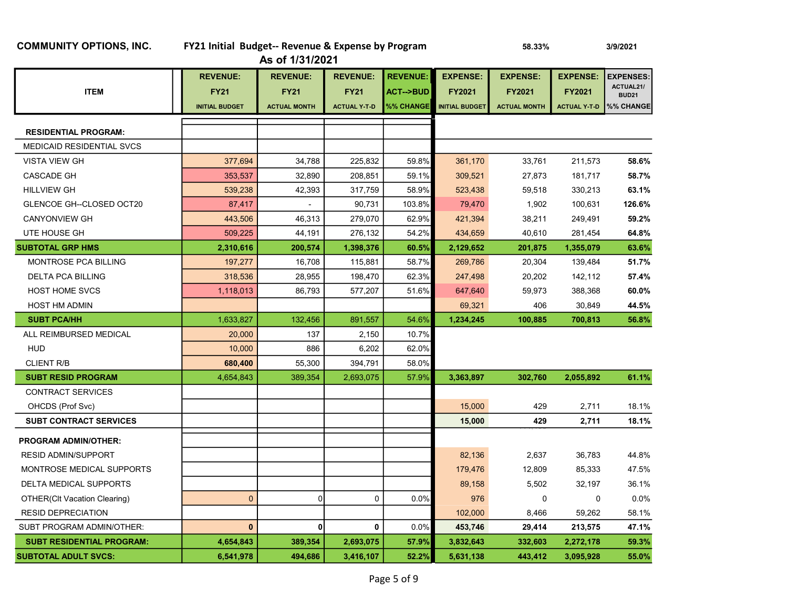| <b>COMMUNITY OPTIONS, INC.</b> |  |  |
|--------------------------------|--|--|
|--------------------------------|--|--|

| <b>COMMUNITY OPTIONS, INC.</b>      | FY21 Initial Budget-- Revenue & Expense by Program      | As of 1/31/2021                                       | 58.33%                                                | 3/9/2021                                            |                                                           |                                                  |                                                         |                                                           |
|-------------------------------------|---------------------------------------------------------|-------------------------------------------------------|-------------------------------------------------------|-----------------------------------------------------|-----------------------------------------------------------|--------------------------------------------------|---------------------------------------------------------|-----------------------------------------------------------|
| <b>ITEM</b>                         | <b>REVENUE:</b><br><b>FY21</b><br><b>INITIAL BUDGET</b> | <b>REVENUE:</b><br><b>FY21</b><br><b>ACTUAL MONTH</b> | <b>REVENUE:</b><br><b>FY21</b><br><b>ACTUAL Y T D</b> | <b>REVENUE:</b><br><b>ACT--&gt;BUD</b><br>%% CHANGE | <b>EXPENSE:</b><br><b>FY2021</b><br><b>INITIAL BUDGET</b> | <b>EXPENSE:</b><br>FY2021<br><b>ACTUAL MONTH</b> | <b>EXPENSE:</b><br><b>FY2021</b><br><b>ACTUAL Y T-D</b> | <b>EXPENSES</b><br>ACTUAL21/<br><b>BUD21</b><br>%% CHANGE |
| <b>RESIDENTIAL PROGRAM:</b>         |                                                         |                                                       |                                                       |                                                     |                                                           |                                                  |                                                         |                                                           |
| MEDICAID RESIDENTIAL SVCS           |                                                         |                                                       |                                                       |                                                     |                                                           |                                                  |                                                         |                                                           |
| <b>VISTA VIEW GH</b>                | 377,694                                                 | 34,788                                                | 225,832                                               | 59.8%                                               | 361,170                                                   | 33,761                                           | 211,573                                                 | 58.6%                                                     |
| <b>CASCADE GH</b>                   | 353,537                                                 | 32,890                                                | 208,851                                               | 59.1%                                               | 309,521                                                   | 27,873                                           | 181,717                                                 | 58.7%                                                     |
| <b>HILLVIEW GH</b>                  | 539,238                                                 | 42,393                                                | 317,759                                               | 58.9%                                               | 523,438                                                   | 59,518                                           | 330,213                                                 | 63.1%                                                     |
| GLENCOE GH--CLOSED OCT20            | 87,417                                                  |                                                       | 90,731                                                | 103.8%                                              | 79,470                                                    | 1,902                                            | 100,631                                                 | 126.6%                                                    |
| <b>CANYONVIEW GH</b>                | 443,506                                                 | 46,313                                                | 279,070                                               | 62.9%                                               | 421,394                                                   | 38,211                                           | 249,491                                                 | 59.2%                                                     |
| UTE HOUSE GH                        | 509,225                                                 | 44,191                                                | 276,132                                               | 54.2%                                               | 434,659                                                   | 40,610                                           | 281,454                                                 | 64.8%                                                     |
| <b>SUBTOTAL GRP HMS</b>             | 2,310,616                                               | 200,574                                               | 1,398,376                                             | 60.5%                                               | 2,129,652                                                 | 201,875                                          | 1,355,079                                               | 63.6%                                                     |
| MONTROSE PCA BILLING                | 197,277                                                 | 16,708                                                | 115,881                                               | 58.7%                                               | 269,786                                                   | 20,304                                           | 139,484                                                 | 51.7%                                                     |
| <b>DELTA PCA BILLING</b>            | 318,536                                                 | 28,955                                                | 198,470                                               | 62.3%                                               | 247,498                                                   | 20,202                                           | 142,112                                                 | 57.4%                                                     |
| <b>HOST HOME SVCS</b>               | 1,118,013                                               | 86,793                                                | 577,207                                               | 51.6%                                               | 647,640                                                   | 59,973                                           | 388,368                                                 | 60.0%                                                     |
| <b>HOST HM ADMIN</b>                |                                                         |                                                       |                                                       |                                                     | 69,321                                                    | 406                                              | 30,849                                                  | 44.5%                                                     |
| <b>SUBT PCA/HH</b>                  | 1,633,827                                               | 132,456                                               | 891,557                                               | 54.6%                                               | 1,234,245                                                 | 100,885                                          | 700,813                                                 | 56.8%                                                     |
| ALL REIMBURSED MEDICAL              | 20,000                                                  | 137                                                   | 2,150                                                 | 10.7%                                               |                                                           |                                                  |                                                         |                                                           |
| <b>HUD</b>                          | 10,000                                                  | 886                                                   | 6,202                                                 | 62.0%                                               |                                                           |                                                  |                                                         |                                                           |
| <b>CLIENT R/B</b>                   | 680,400                                                 | 55,300                                                | 394,791                                               | 58.0%                                               |                                                           |                                                  |                                                         |                                                           |
| <b>SUBT RESID PROGRAM</b>           | 4,654,843                                               | 389,354                                               | 2,693,075                                             | 57.9%                                               | 3,363,897                                                 | 302,760                                          | 2,055,892                                               | 61.1%                                                     |
| <b>CONTRACT SERVICES</b>            |                                                         |                                                       |                                                       |                                                     |                                                           |                                                  |                                                         |                                                           |
| OHCDS (Prof Svc)                    |                                                         |                                                       |                                                       |                                                     | 15,000                                                    | 429                                              | 2,711                                                   | 18.1%                                                     |
| <b>SUBT CONTRACT SERVICES</b>       |                                                         |                                                       |                                                       |                                                     | 15,000                                                    | 429                                              | 2,711                                                   | 18.1%                                                     |
| <b>PROGRAM ADMIN/OTHER:</b>         |                                                         |                                                       |                                                       |                                                     |                                                           |                                                  |                                                         |                                                           |
| <b>RESID ADMIN/SUPPORT</b>          |                                                         |                                                       |                                                       |                                                     | 82,136                                                    | 2,637                                            | 36,783                                                  | 44.8%                                                     |
| MONTROSE MEDICAL SUPPORTS           |                                                         |                                                       |                                                       |                                                     | 179,476                                                   | 12,809                                           | 85,333                                                  | 47.5%                                                     |
| DELTA MEDICAL SUPPORTS              |                                                         |                                                       |                                                       |                                                     | 89,158                                                    | 5,502                                            | 32,197                                                  | 36.1%                                                     |
| <b>OTHER(CIt Vacation Clearing)</b> | $\overline{0}$                                          | $\overline{0}$                                        | 0                                                     | 0.0%                                                | 976                                                       | $\mathbf 0$                                      | 0                                                       | 0.0%                                                      |
| <b>RESID DEPRECIATION</b>           |                                                         |                                                       |                                                       |                                                     | 102,000                                                   | 8,466                                            | 59,262                                                  | 58.1%                                                     |
| SUBT PROGRAM ADMIN/OTHER:           | $\mathbf{0}$                                            | 0                                                     | $\mathbf 0$                                           | 0.0%                                                | 453,746                                                   | 29,414                                           | 213,575                                                 | 47.1%                                                     |

 SUBT RESIDENTIAL PROGRAM: 4,654,843 389,354 2,693,075 57.9% 3,832,643 332,603 2,272,178 59.3% SUBTOTAL ADULT SVCS: 6,541,978 494,686 3,416,107 52.2% 5,631,138 443,412 3,095,928 55.0%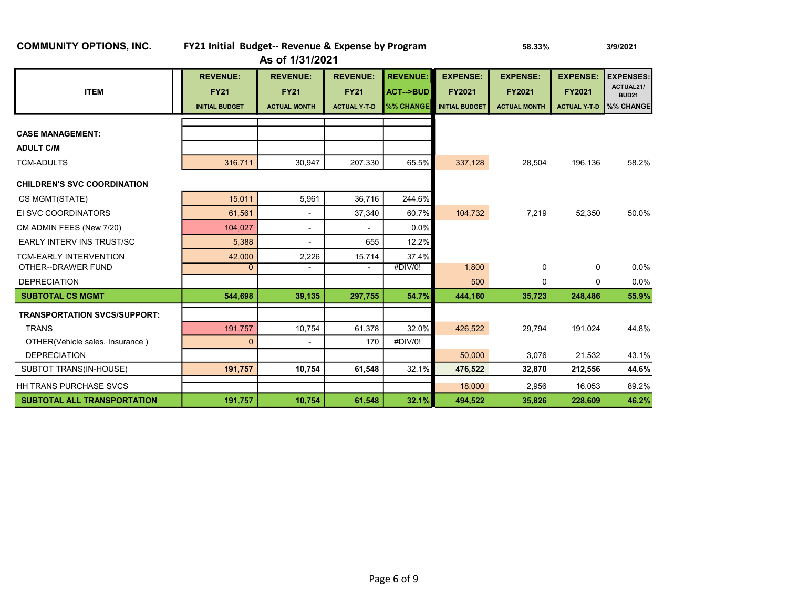| <b>UUININUINI I UF HUNJ, INU.</b>   | <b>FIZI IIIIUAI DUUGEL-- REVEIIUE &amp; EXPEIISE DY FIUGIAIII</b><br>As of 1/31/2021 |                                                       |                                                       | <b>50.99%</b>                                              |                                                           | דאשאוטוט                                                |                                                         |                                                                              |
|-------------------------------------|--------------------------------------------------------------------------------------|-------------------------------------------------------|-------------------------------------------------------|------------------------------------------------------------|-----------------------------------------------------------|---------------------------------------------------------|---------------------------------------------------------|------------------------------------------------------------------------------|
| <b>ITEM</b>                         | <b>REVENUE:</b><br><b>FY21</b><br><b>INITIAL BUDGET</b>                              | <b>REVENUE:</b><br><b>FY21</b><br><b>ACTUAL MONTH</b> | <b>REVENUE:</b><br><b>FY21</b><br><b>ACTUAL Y T D</b> | <b>REVENUE:</b><br><b>ACT--&gt;BUD</b><br><b>%% CHANGE</b> | <b>EXPENSE:</b><br><b>FY2021</b><br><b>INITIAL BUDGET</b> | <b>EXPENSE:</b><br><b>FY2021</b><br><b>ACTUAL MONTH</b> | <b>EXPENSE:</b><br><b>FY2021</b><br><b>ACTUAL Y T D</b> | <b>EXPENSES:</b><br>ACTUAL21/<br><b>BUD21</b><br><b>W<sub>%</sub></b> CHANGE |
| <b>CASE MANAGEMENT:</b>             |                                                                                      |                                                       |                                                       |                                                            |                                                           |                                                         |                                                         |                                                                              |
| <b>ADULT C/M</b>                    |                                                                                      |                                                       |                                                       |                                                            |                                                           |                                                         |                                                         |                                                                              |
| <b>TCM-ADULTS</b>                   | 316,711                                                                              | 30,947                                                | 207,330                                               | 65.5%                                                      | 337,128                                                   | 28,504                                                  | 196,136                                                 | 58.2%                                                                        |
| <b>CHILDREN'S SVC COORDINATION</b>  |                                                                                      |                                                       |                                                       |                                                            |                                                           |                                                         |                                                         |                                                                              |
| CS MGMT(STATE)                      | 15,011                                                                               | 5,961                                                 | 36,716                                                | 244.6%                                                     |                                                           |                                                         |                                                         |                                                                              |
| EI SVC COORDINATORS                 | 61.561                                                                               | $\blacksquare$                                        | 37,340                                                | 60.7%                                                      | 104,732                                                   | 7,219                                                   | 52,350                                                  | 50.0%                                                                        |
| CM ADMIN FEES (New 7/20)            | 104.027                                                                              | $\overline{\phantom{a}}$                              |                                                       | 0.0%                                                       |                                                           |                                                         |                                                         |                                                                              |
| <b>EARLY INTERV INS TRUST/SC</b>    | 5,388                                                                                | ٠                                                     | 655                                                   | 12.2%                                                      |                                                           |                                                         |                                                         |                                                                              |
| <b>TCM-EARLY INTERVENTION</b>       | 42,000                                                                               | 2,226                                                 | 15,714                                                | 37.4%                                                      |                                                           |                                                         |                                                         |                                                                              |
| OTHER--DRAWER FUND                  | 0                                                                                    | $\overline{\phantom{a}}$                              |                                                       | #DIV/0!                                                    | 1,800                                                     | $\mathbf 0$                                             | 0                                                       | 0.0%                                                                         |
| <b>DEPRECIATION</b>                 |                                                                                      |                                                       |                                                       |                                                            | 500                                                       | 0                                                       | 0                                                       | 0.0%                                                                         |
| <b>SUBTOTAL CS MGMT</b>             | 544,698                                                                              | 39,135                                                | 297,755                                               | 54.7%                                                      | 444,160                                                   | 35,723                                                  | 248,486                                                 | 55.9%                                                                        |
| <b>TRANSPORTATION SVCS/SUPPORT:</b> |                                                                                      |                                                       |                                                       |                                                            |                                                           |                                                         |                                                         |                                                                              |
| <b>TRANS</b>                        | 191,757                                                                              | 10,754                                                | 61,378                                                | 32.0%                                                      | 426,522                                                   | 29,794                                                  | 191,024                                                 | 44.8%                                                                        |
| OTHER(Vehicle sales, Insurance)     | $\mathbf{0}$                                                                         |                                                       | 170                                                   | #DIV/0!                                                    |                                                           |                                                         |                                                         |                                                                              |
| <b>DEPRECIATION</b>                 |                                                                                      |                                                       |                                                       |                                                            | 50,000                                                    | 3,076                                                   | 21,532                                                  | 43.1%                                                                        |
| SUBTOT TRANS(IN-HOUSE)              | 191,757                                                                              | 10,754                                                | 61,548                                                | 32.1%                                                      | 476,522                                                   | 32,870                                                  | 212,556                                                 | 44.6%                                                                        |
| <b>HH TRANS PURCHASE SVCS</b>       |                                                                                      |                                                       |                                                       |                                                            | 18,000                                                    | 2,956                                                   | 16,053                                                  | 89.2%                                                                        |
| <b>SUBTOTAL ALL TRANSPORTATION</b>  | 191,757                                                                              | 10,754                                                | 61,548                                                | 32.1%                                                      | 494,522                                                   | 35,826                                                  | 228,609                                                 | 46.2%                                                                        |

#### COMMUNITY OPTIONS, INC. FY21 Initial Budget-- Revenue & Expense by Program 58.33% 3/9/2021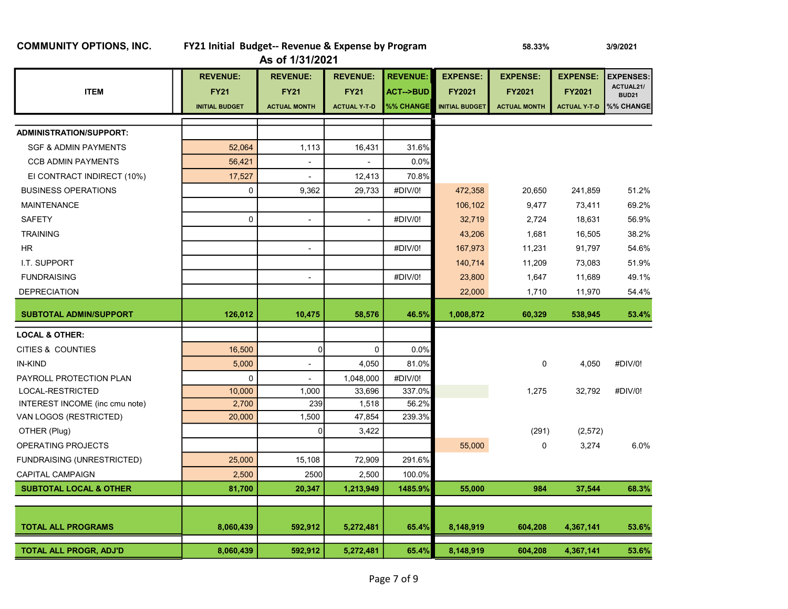| <b>COMMUNITY OPTIONS, INC.</b>    | FY21 Initial Budget-- Revenue & Expense by Program | As of 1/31/2021          |                     | 58.33%              |                       | 3/9/2021            |                     |                           |
|-----------------------------------|----------------------------------------------------|--------------------------|---------------------|---------------------|-----------------------|---------------------|---------------------|---------------------------|
|                                   | <b>REVENUE:</b>                                    | <b>REVENUE:</b>          | <b>REVENUE:</b>     | <b>REVENUE:</b>     | <b>EXPENSE:</b>       | <b>EXPENSE:</b>     | <b>EXPENSE:</b>     | <b>EXPENSES:</b>          |
| <b>ITEM</b>                       | <b>FY21</b>                                        | <b>FY21</b>              | <b>FY21</b>         | <b>ACT--&gt;BUD</b> | <b>FY2021</b>         | <b>FY2021</b>       | <b>FY2021</b>       | ACTUAL21/<br><b>BUD21</b> |
|                                   | <b>INITIAL BUDGET</b>                              | <b>ACTUAL MONTH</b>      | <b>ACTUAL Y-T-D</b> | %% CHANGE           | <b>INITIAL BUDGET</b> | <b>ACTUAL MONTH</b> | <b>ACTUAL Y T D</b> | %% CHANGE                 |
|                                   |                                                    |                          |                     |                     |                       |                     |                     |                           |
| <b>ADMINISTRATION/SUPPORT:</b>    |                                                    |                          |                     |                     |                       |                     |                     |                           |
| <b>SGF &amp; ADMIN PAYMENTS</b>   | 52,064                                             | 1,113                    | 16,431              | 31.6%               |                       |                     |                     |                           |
| <b>CCB ADMIN PAYMENTS</b>         | 56,421                                             | $\blacksquare$           |                     | 0.0%                |                       |                     |                     |                           |
| EI CONTRACT INDIRECT (10%)        | 17,527                                             |                          | 12,413              | 70.8%               |                       |                     |                     |                           |
| <b>BUSINESS OPERATIONS</b>        | $\mathbf 0$                                        | 9,362                    | 29,733              | #DIV/0!             | 472,358               | 20,650              | 241,859             | 51.2%                     |
| <b>MAINTENANCE</b>                |                                                    |                          |                     |                     | 106,102               | 9,477               | 73,411              | 69.2%                     |
| <b>SAFETY</b>                     | $\mathbf 0$                                        | $\overline{\phantom{a}}$ | $\blacksquare$      | #DIV/0!             | 32,719                | 2,724               | 18,631              | 56.9%                     |
| <b>TRAINING</b>                   |                                                    |                          |                     |                     | 43,206                | 1,681               | 16,505              | 38.2%                     |
| HR                                |                                                    | ÷,                       |                     | #DIV/0!             | 167,973               | 11,231              | 91,797              | 54.6%                     |
| I.T. SUPPORT                      |                                                    |                          |                     |                     | 140,714               | 11,209              | 73,083              | 51.9%                     |
| <b>FUNDRAISING</b>                |                                                    | $\overline{\phantom{a}}$ |                     | #DIV/0!             | 23,800                | 1,647               | 11,689              | 49.1%                     |
| <b>DEPRECIATION</b>               |                                                    |                          |                     |                     | 22,000                | 1,710               | 11,970              | 54.4%                     |
| <b>SUBTOTAL ADMIN/SUPPORT</b>     | 126,012                                            | 10,475                   | 58,576              | 46.5%               | 1,008,872             | 60,329              | 538,945             | 53.4%                     |
| <b>LOCAL &amp; OTHER:</b>         |                                                    |                          |                     |                     |                       |                     |                     |                           |
| CITIES & COUNTIES                 | 16,500                                             | $\Omega$                 | $\mathbf 0$         | 0.0%                |                       |                     |                     |                           |
| <b>IN-KIND</b>                    | 5,000                                              | $\overline{\phantom{a}}$ | 4,050               | 81.0%               |                       | 0                   | 4,050               | #DIV/0!                   |
| PAYROLL PROTECTION PLAN           | $\mathbf 0$                                        |                          | 1,048,000           | #DIV/0!             |                       |                     |                     |                           |
| LOCAL-RESTRICTED                  | 10,000                                             | 1,000                    | 33,696              | 337.0%              |                       | 1,275               | 32,792              | #DIV/0!                   |
| INTEREST INCOME (inc cmu note)    | 2,700                                              | 239                      | 1,518               | 56.2%               |                       |                     |                     |                           |
| VAN LOGOS (RESTRICTED)            | 20,000                                             | 1,500                    | 47,854              | 239.3%              |                       |                     |                     |                           |
| OTHER (Plug)                      |                                                    | $\Omega$                 | 3,422               |                     |                       | (291)               | (2,572)             |                           |
| OPERATING PROJECTS                |                                                    |                          |                     |                     | 55,000                | 0                   | 3,274               | 6.0%                      |
| FUNDRAISING (UNRESTRICTED)        | 25,000                                             | 15,108                   | 72,909              | 291.6%              |                       |                     |                     |                           |
| <b>CAPITAL CAMPAIGN</b>           | 2,500                                              | 2500                     | 2,500               | 100.0%              |                       |                     |                     |                           |
| <b>SUBTOTAL LOCAL &amp; OTHER</b> | 81,700                                             | 20,347                   | 1,213,949           | 1485.9%             | 55,000                | 984                 | 37,544              | 68.3%                     |
|                                   |                                                    |                          |                     |                     |                       |                     |                     |                           |
| <b>TOTAL ALL PROGRAMS</b>         | 8,060,439                                          | 592,912                  | 5,272,481           | 65.4%               | 8,148,919             | 604,208             | 4,367,141           | 53.6%                     |
| <b>TOTAL ALL PROGR, ADJ'D</b>     | 8,060,439                                          | 592,912                  | 5,272,481           | 65.4%               | 8,148,919             | 604,208             | 4,367,141           | 53.6%                     |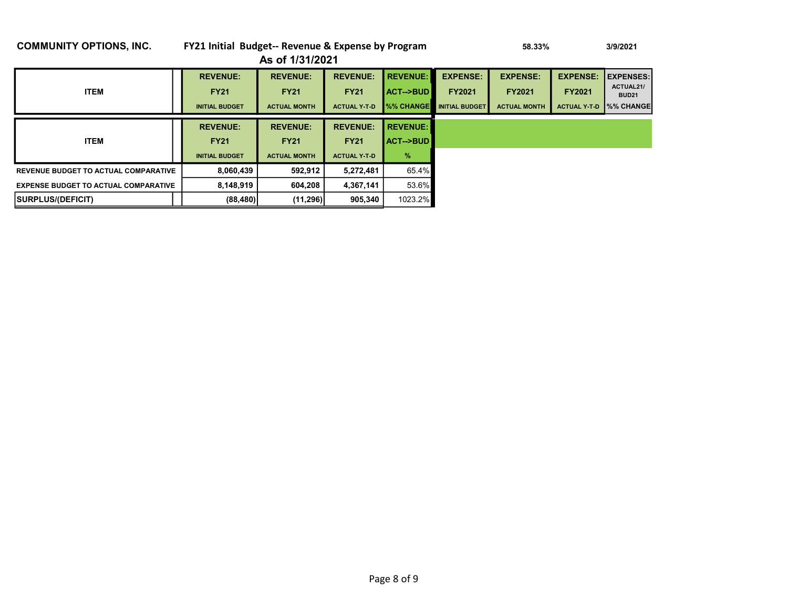| <b>COMMUNITY OPTIONS, INC.</b>              | FY21 Initial Budget-- Revenue & Expense by Program |                                                       |                     |                     | 3/9/2021              |                     |                     |                              |
|---------------------------------------------|----------------------------------------------------|-------------------------------------------------------|---------------------|---------------------|-----------------------|---------------------|---------------------|------------------------------|
|                                             |                                                    | As of 1/31/2021                                       |                     |                     |                       |                     |                     |                              |
|                                             | <b>REVENUE:</b>                                    | <b>REVENUE:</b>                                       | <b>REVENUE:</b>     | <b>REVENUE:</b>     | <b>EXPENSE:</b>       | <b>EXPENSE:</b>     | <b>EXPENSE:</b>     | <b>EXPENSES:</b>             |
| <b>ITEM</b>                                 | <b>FY21</b>                                        | <b>FY21</b>                                           | <b>FY21</b>         | <b>ACT--&gt;BUD</b> | <b>FY2021</b>         | <b>FY2021</b>       | <b>FY2021</b>       | ACTUAL21/<br><b>BUD21</b>    |
|                                             | <b>INITIAL BUDGET</b>                              | <b>ACTUAL MONTH</b>                                   | <b>ACTUAL Y T D</b> | %% CHANGE           | <b>INITIAL BUDGET</b> | <b>ACTUAL MONTH</b> | <b>ACTUAL Y T D</b> | <b>W</b> <sub>%</sub> CHANGE |
|                                             |                                                    |                                                       |                     |                     |                       |                     |                     |                              |
|                                             | <b>REVENUE:</b>                                    | <b>REVENUE:</b><br><b>REVENUE:</b><br><b>REVENUE:</b> |                     |                     |                       |                     |                     |                              |
| <b>ITEM</b>                                 | <b>FY21</b>                                        | <b>FY21</b>                                           | <b>FY21</b>         | <b>ACT--&gt;BUD</b> |                       |                     |                     |                              |
|                                             | <b>INITIAL BUDGET</b>                              | <b>ACTUAL MONTH</b>                                   | <b>ACTUAL Y T D</b> | $\frac{9}{6}$       |                       |                     |                     |                              |
| <b>REVENUE BUDGET TO ACTUAL COMPARATIVE</b> | 8,060,439                                          | 592.912                                               | 5,272,481           | 65.4%               |                       |                     |                     |                              |
| <b>EXPENSE BUDGET TO ACTUAL COMPARATIVE</b> | 8,148,919                                          | 604,208                                               | 4,367,141           | 53.6%               |                       |                     |                     |                              |
| <b>ISURPLUS/(DEFICIT)</b>                   | (88, 480)                                          | (11, 296)                                             | 905,340             | 1023.2%             |                       |                     |                     |                              |